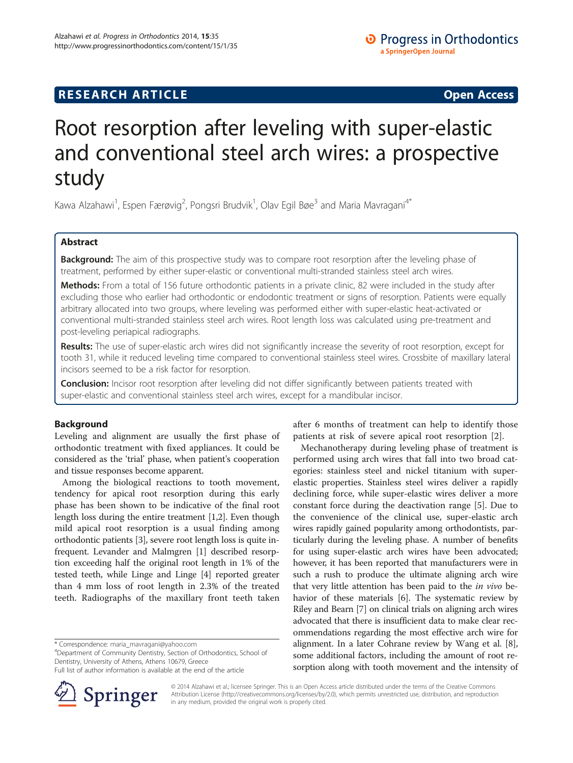# **RESEARCH ARTICLE Example 2014 CONSUMING A RESEARCH ARTICLE**

# Root resorption after leveling with super-elastic and conventional steel arch wires: a prospective study

Kawa Alzahawi<sup>1</sup>, Espen Færøvig<sup>2</sup>, Pongsri Brudvik<sup>1</sup>, Olav Egil Bøe<sup>3</sup> and Maria Mavragani<sup>4\*</sup>

# Abstract

Background: The aim of this prospective study was to compare root resorption after the leveling phase of treatment, performed by either super-elastic or conventional multi-stranded stainless steel arch wires.

Methods: From a total of 156 future orthodontic patients in a private clinic, 82 were included in the study after excluding those who earlier had orthodontic or endodontic treatment or signs of resorption. Patients were equally arbitrary allocated into two groups, where leveling was performed either with super-elastic heat-activated or conventional multi-stranded stainless steel arch wires. Root length loss was calculated using pre-treatment and post-leveling periapical radiographs.

Results: The use of super-elastic arch wires did not significantly increase the severity of root resorption, except for tooth 31, while it reduced leveling time compared to conventional stainless steel wires. Crossbite of maxillary lateral incisors seemed to be a risk factor for resorption.

Conclusion: Incisor root resorption after leveling did not differ significantly between patients treated with super-elastic and conventional stainless steel arch wires, except for a mandibular incisor.

# Background

Leveling and alignment are usually the first phase of orthodontic treatment with fixed appliances. It could be considered as the 'trial' phase, when patient's cooperation and tissue responses become apparent.

Among the biological reactions to tooth movement, tendency for apical root resorption during this early phase has been shown to be indicative of the final root length loss during the entire treatment [[1,2](#page-6-0)]. Even though mild apical root resorption is a usual finding among orthodontic patients [[3](#page-6-0)], severe root length loss is quite infrequent. Levander and Malmgren [[1\]](#page-6-0) described resorption exceeding half the original root length in 1% of the tested teeth, while Linge and Linge [[4\]](#page-6-0) reported greater than 4 mm loss of root length in 2.3% of the treated teeth. Radiographs of the maxillary front teeth taken

\* Correspondence: [maria\\_mavragani@yahoo.com](mailto:maria_mavragani@yahoo.com) <sup>4</sup>

<sup>4</sup>Department of Community Dentistry, Section of Orthodontics, School of Dentistry, University of Athens, Athens 10679, Greece

Full list of author information is available at the end of the article



after 6 months of treatment can help to identify those patients at risk of severe apical root resorption [[2\]](#page-6-0).

Mechanotherapy during leveling phase of treatment is performed using arch wires that fall into two broad categories: stainless steel and nickel titanium with superelastic properties. Stainless steel wires deliver a rapidly declining force, while super-elastic wires deliver a more constant force during the deactivation range [\[5](#page-6-0)]. Due to the convenience of the clinical use, super-elastic arch wires rapidly gained popularity among orthodontists, particularly during the leveling phase. A number of benefits for using super-elastic arch wires have been advocated; however, it has been reported that manufacturers were in such a rush to produce the ultimate aligning arch wire that very little attention has been paid to the *in vivo* behavior of these materials [[6\]](#page-6-0). The systematic review by Riley and Bearn [\[7](#page-6-0)] on clinical trials on aligning arch wires advocated that there is insufficient data to make clear recommendations regarding the most effective arch wire for alignment. In a later Cohrane review by Wang et al. [[8](#page-6-0)], some additional factors, including the amount of root resorption along with tooth movement and the intensity of

© 2014 Alzahawi et al.; licensee Springer. This is an Open Access article distributed under the terms of the Creative Commons Attribution License [\(http://creativecommons.org/licenses/by/2.0\)](http://creativecommons.org/licenses/by/2.0), which permits unrestricted use, distribution, and reproduction in any medium, provided the original work is properly cited.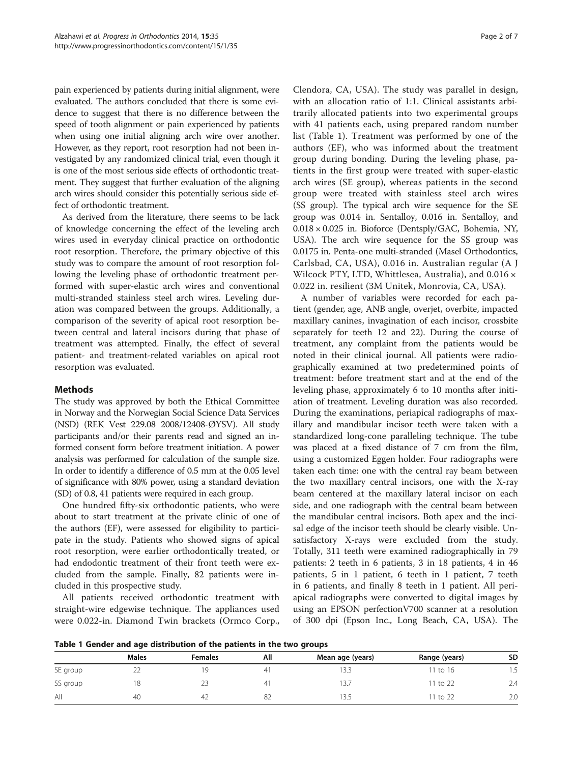pain experienced by patients during initial alignment, were evaluated. The authors concluded that there is some evidence to suggest that there is no difference between the speed of tooth alignment or pain experienced by patients when using one initial aligning arch wire over another. However, as they report, root resorption had not been investigated by any randomized clinical trial, even though it is one of the most serious side effects of orthodontic treatment. They suggest that further evaluation of the aligning arch wires should consider this potentially serious side effect of orthodontic treatment.

As derived from the literature, there seems to be lack of knowledge concerning the effect of the leveling arch wires used in everyday clinical practice on orthodontic root resorption. Therefore, the primary objective of this study was to compare the amount of root resorption following the leveling phase of orthodontic treatment performed with super-elastic arch wires and conventional multi-stranded stainless steel arch wires. Leveling duration was compared between the groups. Additionally, a comparison of the severity of apical root resorption between central and lateral incisors during that phase of treatment was attempted. Finally, the effect of several patient- and treatment-related variables on apical root resorption was evaluated.

# Methods

The study was approved by both the Ethical Committee in Norway and the Norwegian Social Science Data Services (NSD) (REK Vest 229.08 2008/12408-ØYSV). All study participants and/or their parents read and signed an informed consent form before treatment initiation. A power analysis was performed for calculation of the sample size. In order to identify a difference of 0.5 mm at the 0.05 level of significance with 80% power, using a standard deviation (SD) of 0.8, 41 patients were required in each group.

One hundred fifty-six orthodontic patients, who were about to start treatment at the private clinic of one of the authors (EF), were assessed for eligibility to participate in the study. Patients who showed signs of apical root resorption, were earlier orthodontically treated, or had endodontic treatment of their front teeth were excluded from the sample. Finally, 82 patients were included in this prospective study.

All patients received orthodontic treatment with straight-wire edgewise technique. The appliances used were 0.022-in. Diamond Twin brackets (Ormco Corp.,

Clendora, CA, USA). The study was parallel in design, with an allocation ratio of 1:1. Clinical assistants arbitrarily allocated patients into two experimental groups with 41 patients each, using prepared random number list (Table 1). Treatment was performed by one of the authors (EF), who was informed about the treatment group during bonding. During the leveling phase, patients in the first group were treated with super-elastic arch wires (SE group), whereas patients in the second group were treated with stainless steel arch wires (SS group). The typical arch wire sequence for the SE group was 0.014 in. Sentalloy, 0.016 in. Sentalloy, and 0.018 × 0.025 in. Bioforce (Dentsply/GAC, Bohemia, NY, USA). The arch wire sequence for the SS group was 0.0175 in. Penta-one multi-stranded (Masel Orthodontics, Carlsbad, CA, USA), 0.016 in. Australian regular (A J Wilcock PTY, LTD, Whittlesea, Australia), and 0.016 × 0.022 in. resilient (3M Unitek, Monrovia, CA, USA).

A number of variables were recorded for each patient (gender, age, ANB angle, overjet, overbite, impacted maxillary canines, invagination of each incisor, crossbite separately for teeth 12 and 22). During the course of treatment, any complaint from the patients would be noted in their clinical journal. All patients were radiographically examined at two predetermined points of treatment: before treatment start and at the end of the leveling phase, approximately 6 to 10 months after initiation of treatment. Leveling duration was also recorded. During the examinations, periapical radiographs of maxillary and mandibular incisor teeth were taken with a standardized long-cone paralleling technique. The tube was placed at a fixed distance of 7 cm from the film, using a customized Eggen holder. Four radiographs were taken each time: one with the central ray beam between the two maxillary central incisors, one with the X-ray beam centered at the maxillary lateral incisor on each side, and one radiograph with the central beam between the mandibular central incisors. Both apex and the incisal edge of the incisor teeth should be clearly visible. Unsatisfactory X-rays were excluded from the study. Totally, 311 teeth were examined radiographically in 79 patients: 2 teeth in 6 patients, 3 in 18 patients, 4 in 46 patients, 5 in 1 patient, 6 teeth in 1 patient, 7 teeth in 6 patients, and finally 8 teeth in 1 patient. All periapical radiographs were converted to digital images by using an EPSON perfectionV700 scanner at a resolution of 300 dpi (Epson Inc., Long Beach, CA, USA). The

Table 1 Gender and age distribution of the patients in the two groups

| TAMIC T QUINCT MIN MYC MISHIMMHOTT OF HIC PAHCHIS III HIC HIV YIVAPS |       |                |     |                  |               |     |  |  |  |
|----------------------------------------------------------------------|-------|----------------|-----|------------------|---------------|-----|--|--|--|
|                                                                      | Males | <b>Females</b> | All | Mean age (years) | Range (years) | SD. |  |  |  |
| SE group                                                             |       | 9              |     |                  | 1 to 16       | ر…  |  |  |  |
| SS group                                                             |       | 23             | 41  |                  | 1 to 22       | 2.4 |  |  |  |
| All                                                                  | 40    | 42             | -82 |                  | 1 to 22       | 2.0 |  |  |  |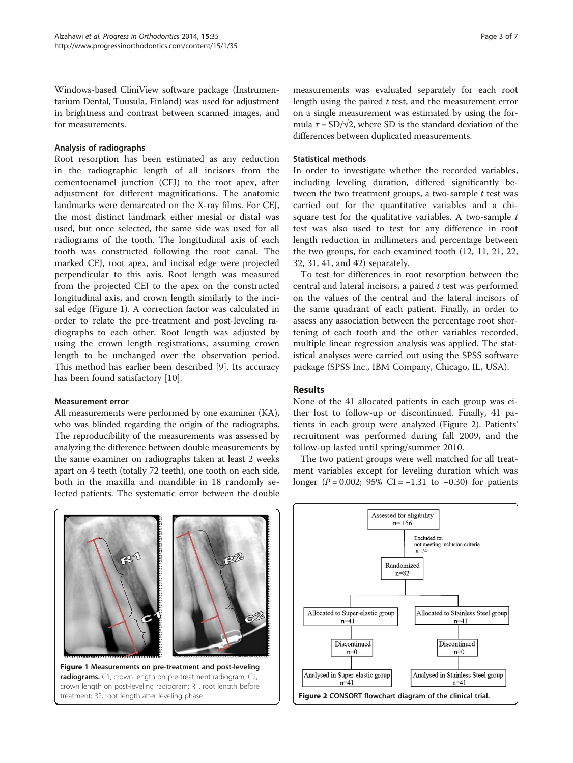Windows-based CliniView software package (Instrumentarium Dental, Tuusula, Finland) was used for adjustment in brightness and contrast between scanned images, and for measurements.

### Analysis of radiographs

Root resorption has been estimated as any reduction in the radiographic length of all incisors from the cementoenamel junction (CEJ) to the root apex, after adjustment for different magnifications. The anatomic landmarks were demarcated on the X-ray films. For CEJ, the most distinct landmark either mesial or distal was used, but once selected, the same side was used for all radiograms of the tooth. The longitudinal axis of each tooth was constructed following the root canal. The marked CEJ, root apex, and incisal edge were projected perpendicular to this axis. Root length was measured from the projected CEJ to the apex on the constructed longitudinal axis, and crown length similarly to the incisal edge (Figure 1). A correction factor was calculated in order to relate the pre-treatment and post-leveling radiographs to each other. Root length was adjusted by using the crown length registrations, assuming crown length to be unchanged over the observation period. This method has earlier been described [[9\]](#page-6-0). Its accuracy has been found satisfactory [\[10](#page-6-0)].

#### Measurement error

All measurements were performed by one examiner (KA), who was blinded regarding the origin of the radiographs. The reproducibility of the measurements was assessed by analyzing the difference between double measurements by the same examiner on radiographs taken at least 2 weeks apart on 4 teeth (totally 72 teeth), one tooth on each side, both in the maxilla and mandible in 18 randomly selected patients. The systematic error between the double

measurements was evaluated separately for each root length using the paired  $t$  test, and the measurement error on a single measurement was estimated by using the formula  $\tau = SD/\sqrt{2}$ , where SD is the standard deviation of the differences between duplicated measurements.

### Statistical methods

In order to investigate whether the recorded variables, including leveling duration, differed significantly between the two treatment groups, a two-sample  $t$  test was carried out for the quantitative variables and a chisquare test for the qualitative variables. A two-sample  $t$ test was also used to test for any difference in root length reduction in millimeters and percentage between the two groups, for each examined tooth (12, 11, 21, 22, 32, 31, 41, and 42) separately.

To test for differences in root resorption between the central and lateral incisors, a paired  $t$  test was performed on the values of the central and the lateral incisors of the same quadrant of each patient. Finally, in order to assess any association between the percentage root shortening of each tooth and the other variables recorded, multiple linear regression analysis was applied. The statistical analyses were carried out using the SPSS software package (SPSS Inc., IBM Company, Chicago, IL, USA).

# Results

None of the 41 allocated patients in each group was either lost to follow-up or discontinued. Finally, 41 patients in each group were analyzed (Figure 2). Patients' recruitment was performed during fall 2009, and the follow-up lasted until spring/summer 2010.

The two patient groups were well matched for all treatment variables except for leveling duration which was longer ( $P = 0.002$ ; 95% CI = −1.31 to −0.30) for patients



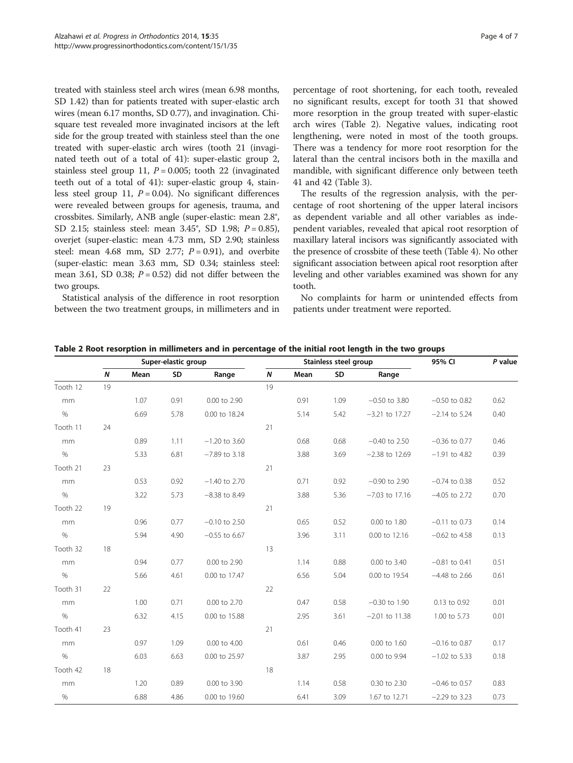treated with stainless steel arch wires (mean 6.98 months, SD 1.42) than for patients treated with super-elastic arch wires (mean 6.17 months, SD 0.77), and invagination. Chisquare test revealed more invaginated incisors at the left side for the group treated with stainless steel than the one treated with super-elastic arch wires (tooth 21 (invaginated teeth out of a total of 41): super-elastic group 2, stainless steel group 11,  $P = 0.005$ ; tooth 22 (invaginated teeth out of a total of 41): super-elastic group 4, stainless steel group 11,  $P = 0.04$ ). No significant differences were revealed between groups for agenesis, trauma, and crossbites. Similarly, ANB angle (super-elastic: mean 2.8°, SD 2.15; stainless steel: mean 3.45°, SD 1.98; P = 0.85), overjet (super-elastic: mean 4.73 mm, SD 2.90; stainless steel: mean 4.68 mm, SD 2.77;  $P = 0.91$ ), and overbite (super-elastic: mean 3.63 mm, SD 0.34; stainless steel: mean 3.61, SD 0.38;  $P = 0.52$ ) did not differ between the two groups.

Statistical analysis of the difference in root resorption between the two treatment groups, in millimeters and in

percentage of root shortening, for each tooth, revealed no significant results, except for tooth 31 that showed more resorption in the group treated with super-elastic arch wires (Table 2). Negative values, indicating root lengthening, were noted in most of the tooth groups. There was a tendency for more root resorption for the lateral than the central incisors both in the maxilla and mandible, with significant difference only between teeth 41 and 42 (Table [3](#page-4-0)).

The results of the regression analysis, with the percentage of root shortening of the upper lateral incisors as dependent variable and all other variables as independent variables, revealed that apical root resorption of maxillary lateral incisors was significantly associated with the presence of crossbite of these teeth (Table [4](#page-4-0)). No other significant association between apical root resorption after leveling and other variables examined was shown for any tooth.

No complaints for harm or unintended effects from patients under treatment were reported.

|          | Super-elastic group |      |      |                 |    |      | Stainless steel group | 95% CI           | P value         |      |
|----------|---------------------|------|------|-----------------|----|------|-----------------------|------------------|-----------------|------|
|          | N                   | Mean | SD   | Range           | N  | Mean | SD                    | Range            |                 |      |
| Tooth 12 | 19                  |      |      |                 | 19 |      |                       |                  |                 |      |
| mm       |                     | 1.07 | 0.91 | 0.00 to 2.90    |    | 0.91 | 1.09                  | $-0.50$ to 3.80  | $-0.50$ to 0.82 | 0.62 |
| $\%$     |                     | 6.69 | 5.78 | 0.00 to 18.24   |    | 5.14 | 5.42                  | $-3.21$ to 17.27 | $-2.14$ to 5.24 | 0.40 |
| Tooth 11 | 24                  |      |      |                 | 21 |      |                       |                  |                 |      |
| mm       |                     | 0.89 | 1.11 | $-1.20$ to 3.60 |    | 0.68 | 0.68                  | $-0.40$ to 2.50  | $-0.36$ to 0.77 | 0.46 |
| $\%$     |                     | 5.33 | 6.81 | $-7.89$ to 3.18 |    | 3.88 | 3.69                  | $-2.38$ to 12.69 | $-1.91$ to 4.82 | 0.39 |
| Tooth 21 | 23                  |      |      |                 | 21 |      |                       |                  |                 |      |
| mm       |                     | 0.53 | 0.92 | $-1.40$ to 2.70 |    | 0.71 | 0.92                  | $-0.90$ to 2.90  | $-0.74$ to 0.38 | 0.52 |
| $\%$     |                     | 3.22 | 5.73 | $-8.38$ to 8.49 |    | 3.88 | 5.36                  | $-7.03$ to 17.16 | $-4.05$ to 2.72 | 0.70 |
| Tooth 22 | 19                  |      |      |                 | 21 |      |                       |                  |                 |      |
| mm       |                     | 0.96 | 0.77 | $-0.10$ to 2.50 |    | 0.65 | 0.52                  | 0.00 to 1.80     | $-0.11$ to 0.73 | 0.14 |
| $\%$     |                     | 5.94 | 4.90 | $-0.55$ to 6.67 |    | 3.96 | 3.11                  | 0.00 to 12.16    | $-0.62$ to 4.58 | 0.13 |
| Tooth 32 | 18                  |      |      |                 | 13 |      |                       |                  |                 |      |
| mm       |                     | 0.94 | 0.77 | 0.00 to 2.90    |    | 1.14 | 0.88                  | 0.00 to 3.40     | $-0.81$ to 0.41 | 0.51 |
| $\%$     |                     | 5.66 | 4.61 | 0.00 to 17.47   |    | 6.56 | 5.04                  | 0.00 to 19.54    | $-4.48$ to 2.66 | 0.61 |
| Tooth 31 | 22                  |      |      |                 | 22 |      |                       |                  |                 |      |
| mm       |                     | 1.00 | 0.71 | 0.00 to 2.70    |    | 0.47 | 0.58                  | $-0.30$ to 1.90  | 0.13 to 0.92    | 0.01 |
| $\%$     |                     | 6.32 | 4.15 | 0.00 to 15.88   |    | 2.95 | 3.61                  | $-2.01$ to 11.38 | 1.00 to 5.73    | 0.01 |
| Tooth 41 | 23                  |      |      |                 | 21 |      |                       |                  |                 |      |
| mm       |                     | 0.97 | 1.09 | 0.00 to 4.00    |    | 0.61 | 0.46                  | 0.00 to 1.60     | $-0.16$ to 0.87 | 0.17 |
| $\%$     |                     | 6.03 | 6.63 | 0.00 to 25.97   |    | 3.87 | 2.95                  | 0.00 to 9.94     | $-1.02$ to 5.33 | 0.18 |
| Tooth 42 | 18                  |      |      |                 | 18 |      |                       |                  |                 |      |
| mm       |                     | 1.20 | 0.89 | 0.00 to 3.90    |    | 1.14 | 0.58                  | 0.30 to 2.30     | $-0.46$ to 0.57 | 0.83 |
| $\%$     |                     | 6.88 | 4.86 | 0.00 to 19.60   |    | 6.41 | 3.09                  | 1.67 to 12.71    | $-2.29$ to 3.23 | 0.73 |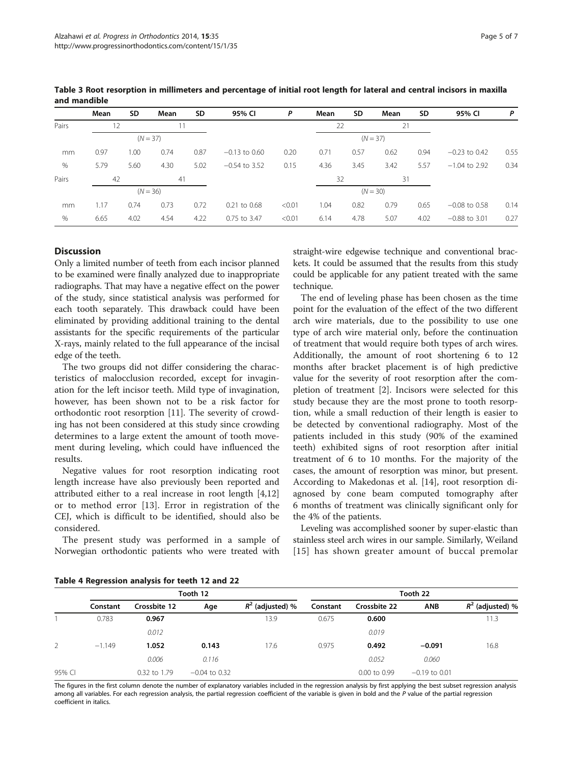|       | Mean       | <b>SD</b> | Mean       | <b>SD</b> | 95% CI          | P      | Mean | <b>SD</b>  | Mean       | SD.  | 95% CI          | P    |
|-------|------------|-----------|------------|-----------|-----------------|--------|------|------------|------------|------|-----------------|------|
| Pairs | 12         |           |            |           |                 |        | 22   |            | 21         |      |                 |      |
|       | $(N = 37)$ |           |            |           |                 |        |      | $(N = 37)$ |            |      |                 |      |
| mm    | 0.97       | 00.1      | 0.74       | 0.87      | $-0.13$ to 0.60 | 0.20   | 0.71 | 0.57       | 0.62       | 0.94 | $-0.23$ to 0.42 | 0.55 |
| %     | 5.79       | 5.60      | 4.30       | 5.02      | $-0.54$ to 3.52 | 0.15   | 4.36 | 3.45       | 3.42       | 5.57 | $-1.04$ to 2.92 | 0.34 |
| Pairs | 42<br>41   |           |            |           |                 |        | 32   |            | 31         |      |                 |      |
|       |            |           | $(N = 36)$ |           |                 |        |      |            | $(N = 30)$ |      |                 |      |
| mm    | 1.17       | 0.74      | 0.73       | 0.72      | 0.21 to 0.68    | < 0.01 | 1.04 | 0.82       | 0.79       | 0.65 | $-0.08$ to 0.58 | 0.14 |
| %     | 6.65       | 4.02      | 4.54       | 4.22      | 0.75 to 3.47    | < 0.01 | 6.14 | 4.78       | 5.07       | 4.02 | $-0.88$ to 3.01 | 0.27 |

<span id="page-4-0"></span>Table 3 Root resorption in millimeters and percentage of initial root length for lateral and central incisors in maxilla and mandible

# **Discussion**

Only a limited number of teeth from each incisor planned to be examined were finally analyzed due to inappropriate radiographs. That may have a negative effect on the power of the study, since statistical analysis was performed for each tooth separately. This drawback could have been eliminated by providing additional training to the dental assistants for the specific requirements of the particular X-rays, mainly related to the full appearance of the incisal edge of the teeth.

The two groups did not differ considering the characteristics of malocclusion recorded, except for invagination for the left incisor teeth. Mild type of invagination, however, has been shown not to be a risk factor for orthodontic root resorption [[11](#page-6-0)]. The severity of crowding has not been considered at this study since crowding determines to a large extent the amount of tooth movement during leveling, which could have influenced the results.

Negative values for root resorption indicating root length increase have also previously been reported and attributed either to a real increase in root length [\[4](#page-6-0),[12](#page-6-0)] or to method error [[13\]](#page-6-0). Error in registration of the CEJ, which is difficult to be identified, should also be considered.

The present study was performed in a sample of Norwegian orthodontic patients who were treated with straight-wire edgewise technique and conventional brackets. It could be assumed that the results from this study could be applicable for any patient treated with the same technique.

The end of leveling phase has been chosen as the time point for the evaluation of the effect of the two different arch wire materials, due to the possibility to use one type of arch wire material only, before the continuation of treatment that would require both types of arch wires. Additionally, the amount of root shortening 6 to 12 months after bracket placement is of high predictive value for the severity of root resorption after the completion of treatment [[2\]](#page-6-0). Incisors were selected for this study because they are the most prone to tooth resorption, while a small reduction of their length is easier to be detected by conventional radiography. Most of the patients included in this study (90% of the examined teeth) exhibited signs of root resorption after initial treatment of 6 to 10 months. For the majority of the cases, the amount of resorption was minor, but present. According to Makedonas et al. [\[14](#page-6-0)], root resorption diagnosed by cone beam computed tomography after 6 months of treatment was clinically significant only for the 4% of the patients.

Leveling was accomplished sooner by super-elastic than stainless steel arch wires in our sample. Similarly, Weiland [[15\]](#page-6-0) has shown greater amount of buccal premolar

|        | Tooth 12 |              |                 |                    |          | Tooth 22     |                 |                    |  |  |
|--------|----------|--------------|-----------------|--------------------|----------|--------------|-----------------|--------------------|--|--|
|        | Constant | Crossbite 12 | Age             | $R^2$ (adjusted) % | Constant | Crossbite 22 | <b>ANB</b>      | $R^2$ (adjusted) % |  |  |
|        | 0.783    | 0.967        |                 | 13.9               | 0.675    | 0.600        |                 | 11.3               |  |  |
|        |          | 0.012        |                 |                    |          | 0.019        |                 |                    |  |  |
|        | $-1.149$ | 1.052        | 0.143           | 17.6               | 0.975    | 0.492        | $-0.091$        | 16.8               |  |  |
|        |          | 0.006        | 0.116           |                    |          | 0.052        | 0.060           |                    |  |  |
| 95% CI |          | 0.32 to 1.79 | $-0.04$ to 0.32 |                    |          | 0.00 to 0.99 | $-0.19$ to 0.01 |                    |  |  |

Table 4 Regression analysis for teeth 12 and 22

The figures in the first column denote the number of explanatory variables included in the regression analysis by first applying the best subset regression analysis among all variables. For each regression analysis, the partial regression coefficient of the variable is given in bold and the P value of the partial regression coefficient in italics.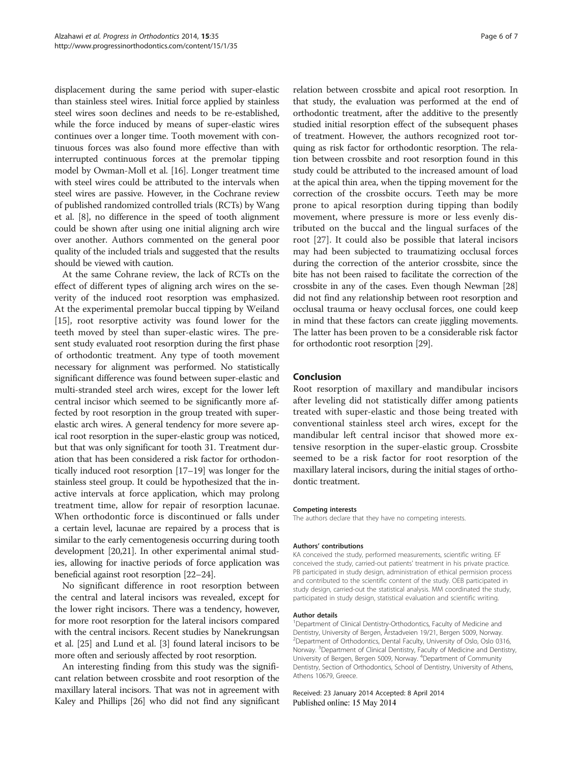displacement during the same period with super-elastic than stainless steel wires. Initial force applied by stainless steel wires soon declines and needs to be re-established, while the force induced by means of super-elastic wires continues over a longer time. Tooth movement with continuous forces was also found more effective than with interrupted continuous forces at the premolar tipping model by Owman-Moll et al. [[16](#page-6-0)]. Longer treatment time with steel wires could be attributed to the intervals when steel wires are passive. However, in the Cochrane review of published randomized controlled trials (RCTs) by Wang et al. [[8](#page-6-0)], no difference in the speed of tooth alignment could be shown after using one initial aligning arch wire over another. Authors commented on the general poor quality of the included trials and suggested that the results should be viewed with caution.

At the same Cohrane review, the lack of RCTs on the effect of different types of aligning arch wires on the severity of the induced root resorption was emphasized. At the experimental premolar buccal tipping by Weiland [[15\]](#page-6-0), root resorptive activity was found lower for the teeth moved by steel than super-elastic wires. The present study evaluated root resorption during the first phase of orthodontic treatment. Any type of tooth movement necessary for alignment was performed. No statistically significant difference was found between super-elastic and multi-stranded steel arch wires, except for the lower left central incisor which seemed to be significantly more affected by root resorption in the group treated with superelastic arch wires. A general tendency for more severe apical root resorption in the super-elastic group was noticed, but that was only significant for tooth 31. Treatment duration that has been considered a risk factor for orthodontically induced root resorption [[17](#page-6-0)–[19\]](#page-6-0) was longer for the stainless steel group. It could be hypothesized that the inactive intervals at force application, which may prolong treatment time, allow for repair of resorption lacunae. When orthodontic force is discontinued or falls under a certain level, lacunae are repaired by a process that is similar to the early cementogenesis occurring during tooth development [\[20,21\]](#page-6-0). In other experimental animal studies, allowing for inactive periods of force application was beneficial against root resorption [[22](#page-6-0)–[24\]](#page-6-0).

No significant difference in root resorption between the central and lateral incisors was revealed, except for the lower right incisors. There was a tendency, however, for more root resorption for the lateral incisors compared with the central incisors. Recent studies by Nanekrungsan et al. [\[25\]](#page-6-0) and Lund et al. [[3\]](#page-6-0) found lateral incisors to be more often and seriously affected by root resorption.

An interesting finding from this study was the significant relation between crossbite and root resorption of the maxillary lateral incisors. That was not in agreement with Kaley and Phillips [[26](#page-6-0)] who did not find any significant relation between crossbite and apical root resorption. In that study, the evaluation was performed at the end of orthodontic treatment, after the additive to the presently studied initial resorption effect of the subsequent phases of treatment. However, the authors recognized root torquing as risk factor for orthodontic resorption. The relation between crossbite and root resorption found in this study could be attributed to the increased amount of load at the apical thin area, when the tipping movement for the correction of the crossbite occurs. Teeth may be more prone to apical resorption during tipping than bodily movement, where pressure is more or less evenly distributed on the buccal and the lingual surfaces of the root [\[27](#page-6-0)]. It could also be possible that lateral incisors may had been subjected to traumatizing occlusal forces during the correction of the anterior crossbite, since the bite has not been raised to facilitate the correction of the crossbite in any of the cases. Even though Newman [[28](#page-6-0)] did not find any relationship between root resorption and occlusal trauma or heavy occlusal forces, one could keep in mind that these factors can create jiggling movements. The latter has been proven to be a considerable risk factor for orthodontic root resorption [\[29\]](#page-6-0).

### Conclusion

Root resorption of maxillary and mandibular incisors after leveling did not statistically differ among patients treated with super-elastic and those being treated with conventional stainless steel arch wires, except for the mandibular left central incisor that showed more extensive resorption in the super-elastic group. Crossbite seemed to be a risk factor for root resorption of the maxillary lateral incisors, during the initial stages of orthodontic treatment.

#### Competing interests

The authors declare that they have no competing interests.

#### Authors' contributions

KA conceived the study, performed measurements, scientific writing. EF conceived the study, carried-out patients' treatment in his private practice. PB participated in study design, administration of ethical permision process and contributed to the scientific content of the study. OEB participated in study design, carried-out the statistical analysis. MM coordinated the study, participated in study design, statistical evaluation and scientific writing.

#### Author details

<sup>1</sup>Department of Clinical Dentistry-Orthodontics, Faculty of Medicine and Dentistry, University of Bergen, Årstadveien 19/21, Bergen 5009, Norway. 2 Department of Orthodontics, Dental Faculty, University of Oslo, Oslo 0316, Norway. <sup>3</sup>Department of Clinical Dentistry, Faculty of Medicine and Dentistry, University of Bergen, Bergen 5009, Norway. <sup>4</sup>Department of Community Dentistry, Section of Orthodontics, School of Dentistry, University of Athens, Athens 10679, Greece.

Received: 23 January 2014 Accepted: 8 April 2014 Published online: 15 May 2014